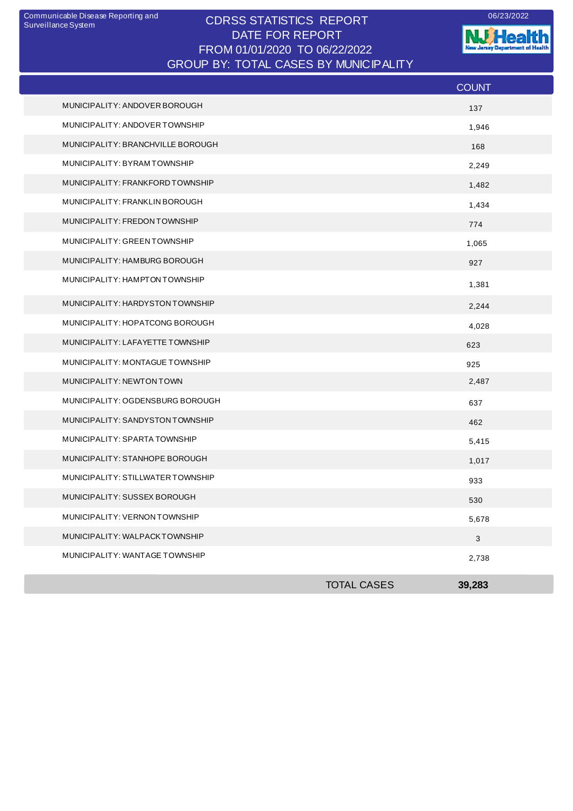## CDRSS STATISTICS REPORT Communicable Disease Reporting and 06/23/2022 DATE FOR REPORT FROM 01/01/2020 TO 06/22/2022 GROUP BY: TOTAL CASES BY MUNICIPALITY

**W**Health nt of Health **Januar Decentry** 

|                                   |                    | <b>COUNT</b> |
|-----------------------------------|--------------------|--------------|
| MUNICIPALITY: ANDOVER BOROUGH     |                    | 137          |
| MUNICIPALITY: ANDOVER TOWNSHIP    |                    | 1,946        |
| MUNICIPALITY: BRANCHVILLE BOROUGH |                    | 168          |
| MUNICIPALITY: BYRAMTOWNSHIP       |                    | 2,249        |
| MUNICIPALITY: FRANKFORD TOWNSHIP  |                    | 1,482        |
| MUNICIPALITY: FRANKLIN BOROUGH    |                    | 1,434        |
| MUNICIPALITY: FREDON TOWNSHIP     |                    | 774          |
| MUNICIPALITY: GREEN TOWNSHIP      |                    | 1,065        |
| MUNICIPALITY: HAMBURG BOROUGH     |                    | 927          |
| MUNICIPALITY: HAMPTON TOWNSHIP    |                    | 1,381        |
| MUNICIPALITY: HARDYSTON TOWNSHIP  |                    | 2,244        |
| MUNICIPALITY: HOPATCONG BOROUGH   |                    | 4,028        |
| MUNICIPALITY: LAFAYETTE TOWNSHIP  |                    | 623          |
| MUNICIPALITY: MONTAGUE TOWNSHIP   |                    | 925          |
| MUNICIPALITY: NEWTON TOWN         |                    | 2,487        |
| MUNICIPALITY: OGDENSBURG BOROUGH  |                    | 637          |
| MUNICIPALITY: SANDYSTON TOWNSHIP  |                    | 462          |
| MUNICIPALITY: SPARTA TOWNSHIP     |                    | 5,415        |
| MUNICIPALITY: STANHOPE BOROUGH    |                    | 1,017        |
| MUNICIPALITY: STILLWATER TOWNSHIP |                    | 933          |
| MUNICIPALITY: SUSSEX BOROUGH      |                    | 530          |
| MUNICIPALITY: VERNON TOWNSHIP     |                    | 5,678        |
| MUNICIPALITY: WALPACKTOWNSHIP     |                    | $\sqrt{3}$   |
| MUNICIPALITY: WANTAGE TOWNSHIP    |                    | 2,738        |
|                                   | <b>TOTAL CASES</b> | 39,283       |